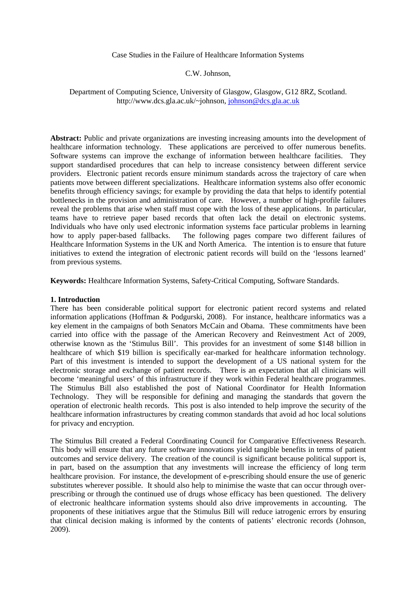#### Case Studies in the Failure of Healthcare Information Systems

#### C.W. Johnson,

### Department of Computing Science, University of Glasgow, Glasgow, G12 8RZ, Scotland. http://www.dcs.gla.ac.uk/~johnson, johnson@dcs.gla.ac.uk

**Abstract:** Public and private organizations are investing increasing amounts into the development of healthcare information technology. These applications are perceived to offer numerous benefits. Software systems can improve the exchange of information between healthcare facilities. They support standardised procedures that can help to increase consistency between different service providers. Electronic patient records ensure minimum standards across the trajectory of care when patients move between different specializations. Healthcare information systems also offer economic benefits through efficiency savings; for example by providing the data that helps to identify potential bottlenecks in the provision and administration of care. However, a number of high-profile failures reveal the problems that arise when staff must cope with the loss of these applications. In particular, teams have to retrieve paper based records that often lack the detail on electronic systems. Individuals who have only used electronic information systems face particular problems in learning how to apply paper-based fallbacks. The following pages compare two different failures of Healthcare Information Systems in the UK and North America. The intention is to ensure that future initiatives to extend the integration of electronic patient records will build on the 'lessons learned' from previous systems.

**Keywords:** Healthcare Information Systems, Safety-Critical Computing, Software Standards.

### **1. Introduction**

There has been considerable political support for electronic patient record systems and related information applications (Hoffman & Podgurski, 2008). For instance, healthcare informatics was a key element in the campaigns of both Senators McCain and Obama. These commitments have been carried into office with the passage of the American Recovery and Reinvestment Act of 2009, otherwise known as the 'Stimulus Bill'. This provides for an investment of some \$148 billion in healthcare of which \$19 billion is specifically ear-marked for healthcare information technology. Part of this investment is intended to support the development of a US national system for the electronic storage and exchange of patient records. There is an expectation that all clinicians will become 'meaningful users' of this infrastructure if they work within Federal healthcare programmes. The Stimulus Bill also established the post of National Coordinator for Health Information Technology. They will be responsible for defining and managing the standards that govern the operation of electronic health records. This post is also intended to help improve the security of the healthcare information infrastructures by creating common standards that avoid ad hoc local solutions for privacy and encryption.

The Stimulus Bill created a Federal Coordinating Council for Comparative Effectiveness Research. This body will ensure that any future software innovations yield tangible benefits in terms of patient outcomes and service delivery. The creation of the council is significant because political support is, in part, based on the assumption that any investments will increase the efficiency of long term healthcare provision. For instance, the development of e-prescribing should ensure the use of generic substitutes wherever possible. It should also help to minimise the waste that can occur through overprescribing or through the continued use of drugs whose efficacy has been questioned. The delivery of electronic healthcare information systems should also drive improvements in accounting. The proponents of these initiatives argue that the Stimulus Bill will reduce iatrogenic errors by ensuring that clinical decision making is informed by the contents of patients' electronic records (Johnson, 2009).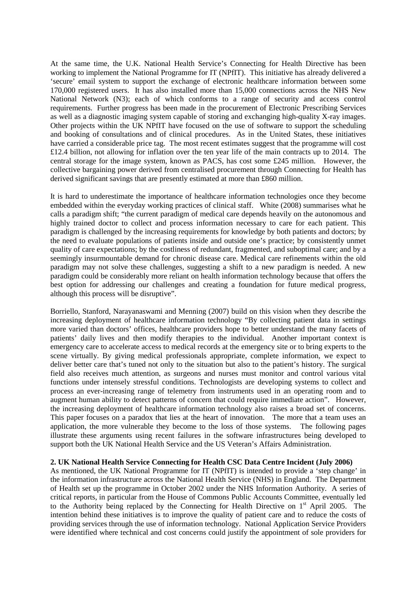At the same time, the U.K. National Health Service's Connecting for Health Directive has been working to implement the National Programme for IT (NPfIT). This initiative has already delivered a 'secure' email system to support the exchange of electronic healthcare information between some 170,000 registered users. It has also installed more than 15,000 connections across the NHS New National Network (N3); each of which conforms to a range of security and access control requirements. Further progress has been made in the procurement of Electronic Prescribing Services as well as a diagnostic imaging system capable of storing and exchanging high-quality X-ray images. Other projects within the UK NPfIT have focused on the use of software to support the scheduling and booking of consultations and of clinical procedures. As in the United States, these initiatives have carried a considerable price tag. The most recent estimates suggest that the programme will cost £12.4 billion, not allowing for inflation over the ten year life of the main contracts up to 2014. The central storage for the image system, known as PACS, has cost some £245 million. However, the collective bargaining power derived from centralised procurement through Connecting for Health has derived significant savings that are presently estimated at more than £860 million.

It is hard to underestimate the importance of healthcare information technologies once they become embedded within the everyday working practices of clinical staff. White (2008) summarises what he calls a paradigm shift; "the current paradigm of medical care depends heavily on the autonomous and highly trained doctor to collect and process information necessary to care for each patient. This paradigm is challenged by the increasing requirements for knowledge by both patients and doctors; by the need to evaluate populations of patients inside and outside one's practice; by consistently unmet quality of care expectations; by the costliness of redundant, fragmented, and suboptimal care; and by a seemingly insurmountable demand for chronic disease care. Medical care refinements within the old paradigm may not solve these challenges, suggesting a shift to a new paradigm is needed. A new paradigm could be considerably more reliant on health information technology because that offers the best option for addressing our challenges and creating a foundation for future medical progress, although this process will be disruptive".

Borriello, Stanford, Narayanaswami and Menning (2007) build on this vision when they describe the increasing deployment of healthcare information technology "By collecting patient data in settings more varied than doctors' offices, healthcare providers hope to better understand the many facets of patients' daily lives and then modify therapies to the individual. Another important context is emergency care to accelerate access to medical records at the emergency site or to bring experts to the scene virtually. By giving medical professionals appropriate, complete information, we expect to deliver better care that's tuned not only to the situation but also to the patient's history. The surgical field also receives much attention, as surgeons and nurses must monitor and control various vital functions under intensely stressful conditions. Technologists are developing systems to collect and process an ever-increasing range of telemetry from instruments used in an operating room and to augment human ability to detect patterns of concern that could require immediate action". However, the increasing deployment of healthcare information technology also raises a broad set of concerns. This paper focuses on a paradox that lies at the heart of innovation. The more that a team uses an application, the more vulnerable they become to the loss of those systems. The following pages illustrate these arguments using recent failures in the software infrastructures being developed to support both the UK National Health Service and the US Veteran's Affairs Administration.

# **2. UK National Health Service Connecting for Health CSC Data Centre Incident (July 2006)**

As mentioned, the UK National Programme for IT (NPfIT) is intended to provide a 'step change' in the information infrastructure across the National Health Service (NHS) in England. The Department of Health set up the programme in October 2002 under the NHS Information Authority. A series of critical reports, in particular from the House of Commons Public Accounts Committee, eventually led to the Authority being replaced by the Connecting for Health Directive on  $1<sup>st</sup>$  April 2005. The intention behind these initiatives is to improve the quality of patient care and to reduce the costs of providing services through the use of information technology. National Application Service Providers were identified where technical and cost concerns could justify the appointment of sole providers for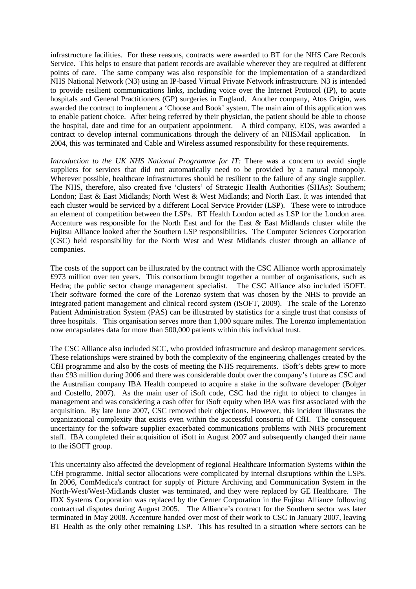infrastructure facilities. For these reasons, contracts were awarded to BT for the NHS Care Records Service. This helps to ensure that patient records are available wherever they are required at different points of care. The same company was also responsible for the implementation of a standardized NHS National Network (N3) using an IP-based Virtual Private Network infrastructure. N3 is intended to provide resilient communications links, including voice over the Internet Protocol (IP), to acute hospitals and General Practitioners (GP) surgeries in England. Another company, Atos Origin, was awarded the contract to implement a 'Choose and Book' system. The main aim of this application was to enable patient choice. After being referred by their physician, the patient should be able to choose the hospital, date and time for an outpatient appointment. A third company, EDS, was awarded a contract to develop internal communications through the delivery of an NHSMail application. In 2004, this was terminated and Cable and Wireless assumed responsibility for these requirements.

*Introduction to the UK NHS National Programme for IT: There was a concern to avoid single* suppliers for services that did not automatically need to be provided by a natural monopoly. Wherever possible, healthcare infrastructures should be resilient to the failure of any single supplier. The NHS, therefore, also created five 'clusters' of Strategic Health Authorities (SHAs): Southern; London; East & East Midlands; North West & West Midlands; and North East. It was intended that each cluster would be serviced by a different Local Service Provider (LSP). These were to introduce an element of competition between the LSPs. BT Health London acted as LSP for the London area. Accenture was responsible for the North East and for the East & East Midlands cluster while the Fujitsu Alliance looked after the Southern LSP responsibilities. The Computer Sciences Corporation (CSC) held responsibility for the North West and West Midlands cluster through an alliance of companies.

The costs of the support can be illustrated by the contract with the CSC Alliance worth approximately £973 million over ten years. This consortium brought together a number of organisations, such as Hedra; the public sector change management specialist. The CSC Alliance also included iSOFT. Their software formed the core of the Lorenzo system that was chosen by the NHS to provide an integrated patient management and clinical record system (iSOFT, 2009). The scale of the Lorenzo Patient Administration System (PAS) can be illustrated by statistics for a single trust that consists of three hospitals. This organisation serves more than 1,000 square miles. The Lorenzo implementation now encapsulates data for more than 500,000 patients within this individual trust.

The CSC Alliance also included SCC, who provided infrastructure and desktop management services. These relationships were strained by both the complexity of the engineering challenges created by the CfH programme and also by the costs of meeting the NHS requirements. iSoft's debts grew to more than £93 million during 2006 and there was considerable doubt over the company's future as CSC and the Australian company IBA Health competed to acquire a stake in the software developer (Bolger and Costello, 2007). As the main user of iSoft code, CSC had the right to object to changes in management and was considering a cash offer for iSoft equity when IBA was first associated with the acquisition. By late June 2007, CSC removed their objections. However, this incident illustrates the organizational complexity that exists even within the successful consortia of CfH. The consequent uncertainty for the software supplier exacerbated communications problems with NHS procurement staff. IBA completed their acquisition of iSoft in August 2007 and subsequently changed their name to the iSOFT group.

This uncertainty also affected the development of regional Healthcare Information Systems within the CfH programme. Initial sector allocations were complicated by internal disruptions within the LSPs. In 2006, ComMedica's contract for supply of Picture Archiving and Communication System in the North-West/West-Midlands cluster was terminated, and they were replaced by GE Healthcare. The IDX Systems Corporation was replaced by the Cerner Corporation in the Fujitsu Alliance following contractual disputes during August 2005. The Alliance's contract for the Southern sector was later terminated in May 2008. Accenture handed over most of their work to CSC in January 2007, leaving BT Health as the only other remaining LSP. This has resulted in a situation where sectors can be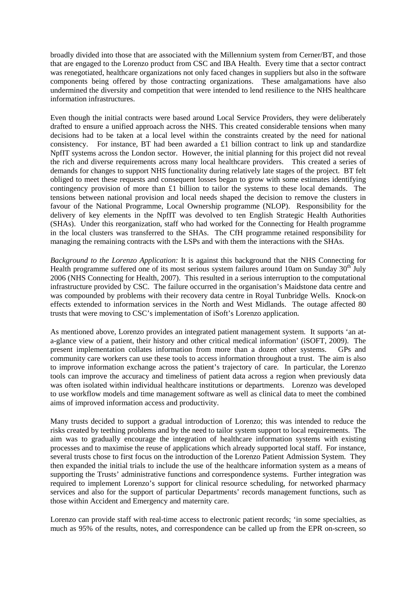broadly divided into those that are associated with the Millennium system from Cerner/BT, and those that are engaged to the Lorenzo product from CSC and IBA Health. Every time that a sector contract was renegotiated, healthcare organizations not only faced changes in suppliers but also in the software components being offered by those contracting organizations. These amalgamations have also undermined the diversity and competition that were intended to lend resilience to the NHS healthcare information infrastructures.

Even though the initial contracts were based around Local Service Providers, they were deliberately drafted to ensure a unified approach across the NHS. This created considerable tensions when many decisions had to be taken at a local level within the constraints created by the need for national consistency. For instance, BT had been awarded a £1 billion contract to link up and standardize NpfIT systems across the London sector. However, the initial planning for this project did not reveal the rich and diverse requirements across many local healthcare providers. This created a series of demands for changes to support NHS functionality during relatively late stages of the project. BT felt obliged to meet these requests and consequent losses began to grow with some estimates identifying contingency provision of more than £1 billion to tailor the systems to these local demands. The tensions between national provision and local needs shaped the decision to remove the clusters in favour of the National Programme, Local Ownership programme (NLOP). Responsibility for the delivery of key elements in the NpfIT was devolved to ten English Strategic Health Authorities (SHAs). Under this reorganization, staff who had worked for the Connecting for Health programme in the local clusters was transferred to the SHAs. The CfH programme retained responsibility for managing the remaining contracts with the LSPs and with them the interactions with the SHAs.

*Background to the Lorenzo Application:* It is against this background that the NHS Connecting for Health programme suffered one of its most serious system failures around 10am on Sunday  $30<sup>th</sup>$  July 2006 (NHS Connecting for Health, 2007). This resulted in a serious interruption to the computational infrastructure provided by CSC. The failure occurred in the organisation's Maidstone data centre and was compounded by problems with their recovery data centre in Royal Tunbridge Wells. Knock-on effects extended to information services in the North and West Midlands. The outage affected 80 trusts that were moving to CSC's implementation of iSoft's Lorenzo application.

As mentioned above, Lorenzo provides an integrated patient management system. It supports 'an ata-glance view of a patient, their history and other critical medical information' (iSOFT, 2009). The present implementation collates information from more than a dozen other systems. GPs and community care workers can use these tools to access information throughout a trust. The aim is also to improve information exchange across the patient's trajectory of care. In particular, the Lorenzo tools can improve the accuracy and timeliness of patient data across a region when previously data was often isolated within individual healthcare institutions or departments.Lorenzo was developed to use workflow models and time management software as well as clinical data to meet the combined aims of improved information access and productivity.

Many trusts decided to support a gradual introduction of Lorenzo; this was intended to reduce the risks created by teething problems and by the need to tailor system support to local requirements. The aim was to gradually encourage the integration of healthcare information systems with existing processes and to maximise the reuse of applications which already supported local staff. For instance, several trusts chose to first focus on the introduction of the Lorenzo Patient Admission System. They then expanded the initial trials to include the use of the healthcare information system as a means of supporting the Trusts' administrative functions and correspondence systems. Further integration was required to implement Lorenzo's support for clinical resource scheduling, for networked pharmacy services and also for the support of particular Departments' records management functions, such as those within Accident and Emergency and maternity care.

Lorenzo can provide staff with real-time access to electronic patient records; 'in some specialties, as much as 95% of the results, notes, and correspondence can be called up from the EPR on-screen, so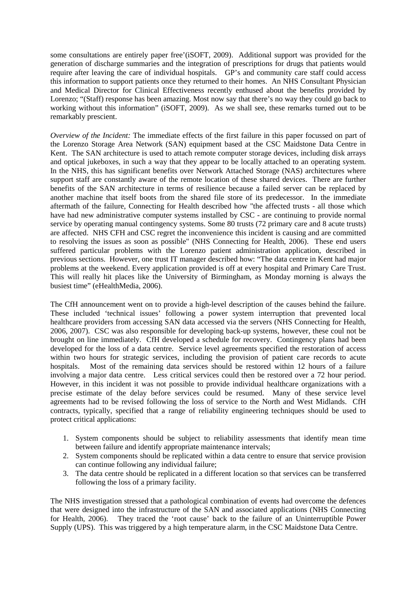some consultations are entirely paper free'(iSOFT, 2009). Additional support was provided for the generation of discharge summaries and the integration of prescriptions for drugs that patients would require after leaving the care of individual hospitals. GP's and community care staff could access this information to support patients once they returned to their homes. An NHS Consultant Physician and Medical Director for Clinical Effectiveness recently enthused about the benefits provided by Lorenzo; "(Staff) response has been amazing. Most now say that there's no way they could go back to working without this information" (iSOFT, 2009). As we shall see, these remarks turned out to be remarkably prescient.

*Overview of the Incident:* The immediate effects of the first failure in this paper focussed on part of the Lorenzo Storage Area Network (SAN) equipment based at the CSC Maidstone Data Centre in Kent. The SAN architecture is used to attach remote computer storage devices, including disk arrays and optical jukeboxes, in such a way that they appear to be locally attached to an operating system. In the NHS, this has significant benefits over Network Attached Storage (NAS) architectures where support staff are constantly aware of the remote location of these shared devices. There are further benefits of the SAN architecture in terms of resilience because a failed server can be replaced by another machine that itself boots from the shared file store of its predecessor. In the immediate aftermath of the failure, Connecting for Health described how "the affected trusts - all those which have had new administrative computer systems installed by CSC - are continuing to provide normal service by operating manual contingency systems. Some 80 trusts (72 primary care and 8 acute trusts) are affected. NHS CFH and CSC regret the inconvenience this incident is causing and are committed to resolving the issues as soon as possible" (NHS Connecting for Health, 2006). These end users suffered particular problems with the Lorenzo patient administration application, described in previous sections. However, one trust IT manager described how: "The data centre in Kent had major problems at the weekend. Every application provided is off at every hospital and Primary Care Trust. This will really hit places like the University of Birmingham, as Monday morning is always the busiest time" (eHealthMedia, 2006).

The CfH announcement went on to provide a high-level description of the causes behind the failure. These included 'technical issues' following a power system interruption that prevented local healthcare providers from accessing SAN data accessed via the servers (NHS Connecting for Health, 2006, 2007). CSC was also responsible for developing back-up systems, however, these coul not be brought on line immediately. CfH developed a schedule for recovery. Contingency plans had been developed for the loss of a data centre. Service level agreements specified the restoration of access within two hours for strategic services, including the provision of patient care records to acute hospitals. Most of the remaining data services should be restored within 12 hours of a failure involving a major data centre. Less critical services could then be restored over a 72 hour period. However, in this incident it was not possible to provide individual healthcare organizations with a precise estimate of the delay before services could be resumed. Many of these service level agreements had to be revised following the loss of service to the North and West Midlands. CfH contracts, typically, specified that a range of reliability engineering techniques should be used to protect critical applications:

- 1. System components should be subject to reliability assessments that identify mean time between failure and identify appropriate maintenance intervals;
- 2. System components should be replicated within a data centre to ensure that service provision can continue following any individual failure;
- 3. The data centre should be replicated in a different location so that services can be transferred following the loss of a primary facility.

The NHS investigation stressed that a pathological combination of events had overcome the defences that were designed into the infrastructure of the SAN and associated applications (NHS Connecting for Health, 2006). They traced the 'root cause' back to the failure of an Uninterruptible Power Supply (UPS). This was triggered by a high temperature alarm, in the CSC Maidstone Data Centre.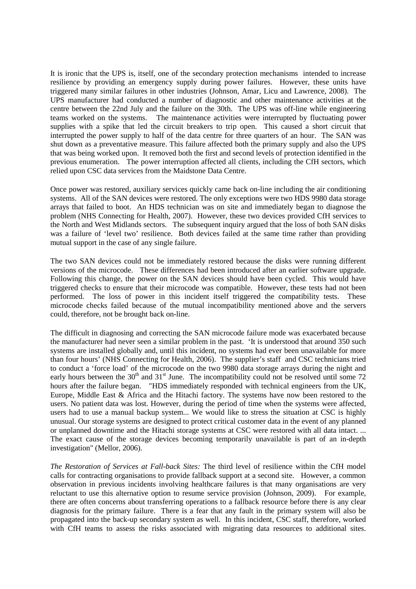It is ironic that the UPS is, itself, one of the secondary protection mechanisms intended to increase resilience by providing an emergency supply during power failures. However, these units have triggered many similar failures in other industries (Johnson, Amar, Licu and Lawrence, 2008). The UPS manufacturer had conducted a number of diagnostic and other maintenance activities at the centre between the 22nd July and the failure on the 30th. The UPS was off-line while engineering teams worked on the systems. The maintenance activities were interrupted by fluctuating power supplies with a spike that led the circuit breakers to trip open. This caused a short circuit that interrupted the power supply to half of the data centre for three quarters of an hour. The SAN was shut down as a preventative measure. This failure affected both the primary supply and also the UPS that was being worked upon. It removed both the first and second levels of protection identified in the previous enumeration. The power interruption affected all clients, including the CfH sectors, which relied upon CSC data services from the Maidstone Data Centre.

Once power was restored, auxiliary services quickly came back on-line including the air conditioning systems. All of the SAN devices were restored. The only exceptions were two HDS 9980 data storage arrays that failed to boot. An HDS technician was on site and immediately began to diagnose the problem (NHS Connecting for Health, 2007). However, these two devices provided CfH services to the North and West Midlands sectors. The subsequent inquiry argued that the loss of both SAN disks was a failure of 'level two' resilience. Both devices failed at the same time rather than providing mutual support in the case of any single failure.

The two SAN devices could not be immediately restored because the disks were running different versions of the microcode. These differences had been introduced after an earlier software upgrade. Following this change, the power on the SAN devices should have been cycled. This would have triggered checks to ensure that their microcode was compatible. However, these tests had not been performed. The loss of power in this incident itself triggered the compatibility tests. These microcode checks failed because of the mutual incompatibility mentioned above and the servers could, therefore, not be brought back on-line.

The difficult in diagnosing and correcting the SAN microcode failure mode was exacerbated because the manufacturer had never seen a similar problem in the past. 'It is understood that around 350 such systems are installed globally and, until this incident, no systems had ever been unavailable for more than four hours' (NHS Connecting for Health, 2006). The supplier's staff and CSC technicians tried to conduct a 'force load' of the microcode on the two 9980 data storage arrays during the night and early hours between the  $30<sup>th</sup>$  and  $31<sup>st</sup>$  June. The incompatibility could not be resolved until some 72 hours after the failure began. "HDS immediately responded with technical engineers from the UK, Europe, Middle East & Africa and the Hitachi factory. The systems have now been restored to the users. No patient data was lost. However, during the period of time when the systems were affected, users had to use a manual backup system... We would like to stress the situation at CSC is highly unusual. Our storage systems are designed to protect critical customer data in the event of any planned or unplanned downtime and the Hitachi storage systems at CSC were restored with all data intact. ... The exact cause of the storage devices becoming temporarily unavailable is part of an in-depth investigation" (Mellor, 2006).

*The Restoration of Services at Fall-back Sites:* The third level of resilience within the CfH model calls for contracting organisations to provide fallback support at a second site. However, a common observation in previous incidents involving healthcare failures is that many organisations are very reluctant to use this alternative option to resume service provision (Johnson, 2009). For example, there are often concerns about transferring operations to a fallback resource before there is any clear diagnosis for the primary failure. There is a fear that any fault in the primary system will also be propagated into the back-up secondary system as well. In this incident, CSC staff, therefore, worked with CfH teams to assess the risks associated with migrating data resources to additional sites.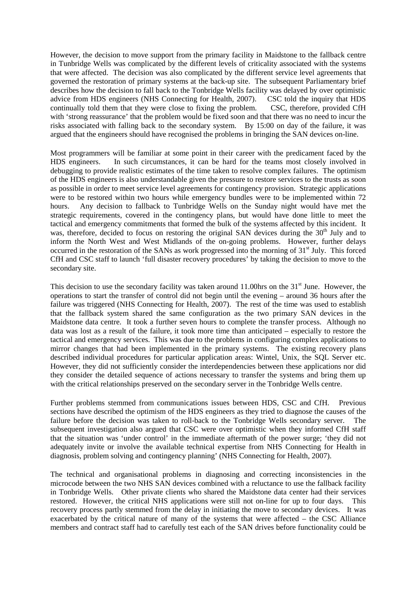However, the decision to move support from the primary facility in Maidstone to the fallback centre in Tunbridge Wells was complicated by the different levels of criticality associated with the systems that were affected. The decision was also complicated by the different service level agreements that governed the restoration of primary systems at the back-up site. The subsequent Parliamentary brief describes how the decision to fall back to the Tonbridge Wells facility was delayed by over optimistic advice from HDS engineers (NHS Connecting for Health, 2007). CSC told the inquiry that HDS continually told them that they were close to fixing the problem. CSC, therefore, provided CfH with 'strong reassurance' that the problem would be fixed soon and that there was no need to incur the risks associated with falling back to the secondary system. By 15:00 on day of the failure, it was argued that the engineers should have recognised the problems in bringing the SAN devices on-line.

Most programmers will be familiar at some point in their career with the predicament faced by the HDS engineers. In such circumstances, it can be hard for the teams most closely involved in debugging to provide realistic estimates of the time taken to resolve complex failures. The optimism of the HDS engineers is also understandable given the pressure to restore services to the trusts as soon as possible in order to meet service level agreements for contingency provision. Strategic applications were to be restored within two hours while emergency bundles were to be implemented within 72 hours. Any decision to fallback to Tunbridge Wells on the Sunday night would have met the strategic requirements, covered in the contingency plans, but would have done little to meet the tactical and emergency commitments that formed the bulk of the systems affected by this incident. It was, therefore, decided to focus on restoring the original SAN devices during the 30<sup>th</sup> July and to inform the North West and West Midlands of the on-going problems. However, further delays occurred in the restoration of the SANs as work progressed into the morning of  $31<sup>st</sup>$  July. This forced CfH and CSC staff to launch 'full disaster recovery procedures' by taking the decision to move to the secondary site.

This decision to use the secondary facility was taken around 11.00hrs on the 31<sup>st</sup> June. However, the operations to start the transfer of control did not begin until the evening – around 36 hours after the failure was triggered (NHS Connecting for Health, 2007). The rest of the time was used to establish that the fallback system shared the same configuration as the two primary SAN devices in the Maidstone data centre. It took a further seven hours to complete the transfer process. Although no data was lost as a result of the failure, it took more time than anticipated – especially to restore the tactical and emergency services. This was due to the problems in configuring complex applications to mirror changes that had been implemented in the primary systems. The existing recovery plans described individual procedures for particular application areas: Wintel, Unix, the SQL Server etc. However, they did not sufficiently consider the interdependencies between these applications nor did they consider the detailed sequence of actions necessary to transfer the systems and bring them up with the critical relationships preserved on the secondary server in the Tonbridge Wells centre.

Further problems stemmed from communications issues between HDS, CSC and CfH. Previous sections have described the optimism of the HDS engineers as they tried to diagnose the causes of the failure before the decision was taken to roll-back to the Tonbridge Wells secondary server. The subsequent investigation also argued that CSC were over optimistic when they informed CfH staff that the situation was 'under control' in the immediate aftermath of the power surge; 'they did not adequately invite or involve the available technical expertise from NHS Connecting for Health in diagnosis, problem solving and contingency planning' (NHS Connecting for Health, 2007).

The technical and organisational problems in diagnosing and correcting inconsistencies in the microcode between the two NHS SAN devices combined with a reluctance to use the fallback facility in Tonbridge Wells. Other private clients who shared the Maidstone data center had their services restored. However, the critical NHS applications were still not on-line for up to four days. This recovery process partly stemmed from the delay in initiating the move to secondary devices. It was exacerbated by the critical nature of many of the systems that were affected – the CSC Alliance members and contract staff had to carefully test each of the SAN drives before functionality could be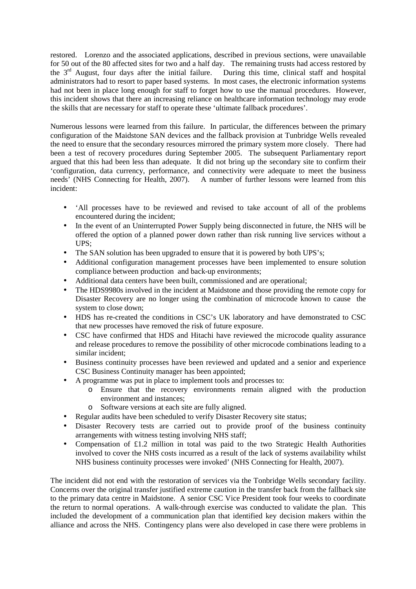restored. Lorenzo and the associated applications, described in previous sections, were unavailable for 50 out of the 80 affected sites for two and a half day. The remaining trusts had access restored by the 3rd August, four days after the initial failure. During this time, clinical staff and hospital administrators had to resort to paper based systems. In most cases, the electronic information systems had not been in place long enough for staff to forget how to use the manual procedures. However, this incident shows that there an increasing reliance on healthcare information technology may erode the skills that are necessary for staff to operate these 'ultimate fallback procedures'.

Numerous lessons were learned from this failure. In particular, the differences between the primary configuration of the Maidstone SAN devices and the fallback provision at Tunbridge Wells revealed the need to ensure that the secondary resources mirrored the primary system more closely. There had been a test of recovery procedures during September 2005. The subsequent Parliamentary report argued that this had been less than adequate. It did not bring up the secondary site to confirm their 'configuration, data currency, performance, and connectivity were adequate to meet the business needs' (NHS Connecting for Health, 2007). A number of further lessons were learned from this incident:

- 'All processes have to be reviewed and revised to take account of all of the problems encountered during the incident;
- In the event of an Uninterrupted Power Supply being disconnected in future, the NHS will be offered the option of a planned power down rather than risk running live services without a UPS;
- The SAN solution has been upgraded to ensure that it is powered by both UPS's;
- Additional configuration management processes have been implemented to ensure solution compliance between production and back-up environments;
- Additional data centers have been built, commissioned and are operational;
- The HDS9980s involved in the incident at Maidstone and those providing the remote copy for Disaster Recovery are no longer using the combination of microcode known to cause the system to close down;
- HDS has re-created the conditions in CSC's UK laboratory and have demonstrated to CSC that new processes have removed the risk of future exposure.
- CSC have confirmed that HDS and Hitachi have reviewed the microcode quality assurance and release procedures to remove the possibility of other microcode combinations leading to a similar incident;
- Business continuity processes have been reviewed and updated and a senior and experience CSC Business Continuity manager has been appointed;
- A programme was put in place to implement tools and processes to:
	- o Ensure that the recovery environments remain aligned with the production environment and instances;
	- o Software versions at each site are fully aligned.
- Regular audits have been scheduled to verify Disaster Recovery site status;
- Disaster Recovery tests are carried out to provide proof of the business continuity arrangements with witness testing involving NHS staff;
- Compensation of £1.2 million in total was paid to the two Strategic Health Authorities involved to cover the NHS costs incurred as a result of the lack of systems availability whilst NHS business continuity processes were invoked' (NHS Connecting for Health, 2007).

The incident did not end with the restoration of services via the Tonbridge Wells secondary facility. Concerns over the original transfer justified extreme caution in the transfer back from the fallback site to the primary data centre in Maidstone. A senior CSC Vice President took four weeks to coordinate the return to normal operations. A walk-through exercise was conducted to validate the plan. This included the development of a communication plan that identified key decision makers within the alliance and across the NHS. Contingency plans were also developed in case there were problems in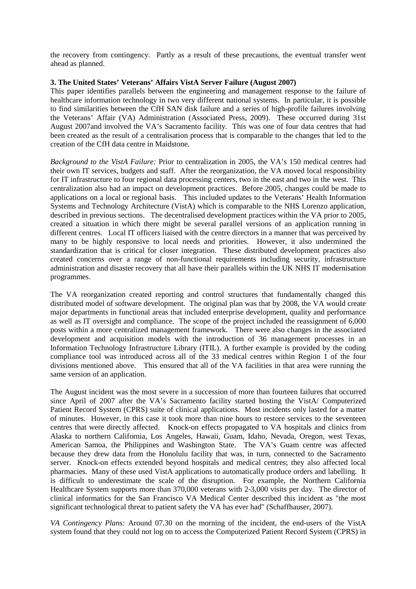the recovery from contingency. Partly as a result of these precautions, the eventual transfer went ahead as planned.

### **3. The United States' Veterans' Affairs VistA Server Failure (August 2007)**

This paper identifies parallels between the engineering and management response to the failure of healthcare information technology in two very different national systems. In particular, it is possible to find similarities between the CfH SAN disk failure and a series of high-profile failures involving the Veterans' Affair (VA) Administration (Associated Press, 2009). These occurred during 31st August 2007and involved the VA's Sacramento facility. This was one of four data centres that had been created as the result of a centralisation process that is comparable to the changes that led to the creation of the CfH data centre in Maidstone.

*Background to the VistA Failure:* Prior to centralization in 2005, the VA's 150 medical centres had their own IT services, budgets and staff. After the reorganization, the VA moved local responsibility for IT infrastructure to four regional data processing centers, two in the east and two in the west. This centralization also had an impact on development practices. Before 2005, changes could be made to applications on a local or regional basis. This included updates to the Veterans' Health Information Systems and Technology Architecture (VistA) which is comparable to the NHS Lorenzo application, described in previous sections. The decentralised development practices within the VA prior to 2005, created a situation in which there might be several parallel versions of an application running in different centres. Local IT officers liaised with the centre directors in a manner that was perceived by many to be highly responsive to local needs and priorities. However, it also undermined the standardization that is critical for closer integration. These distributed development practices also created concerns over a range of non-functional requirements including security, infrastructure administration and disaster recovery that all have their parallels within the UK NHS IT modernisation programmes.

The VA reorganization created reporting and control structures that fundamentally changed this distributed model of software development. The original plan was that by 2008, the VA would create major departments in functional areas that included enterprise development, quality and performance as well as IT oversight and compliance. The scope of the project included the reassignment of 6,000 posts within a more centralized management framework. There were also changes in the associated development and acquisition models with the introduction of 36 management processes in an Information Technology Infrastructure Library (ITIL). A further example is provided by the coding compliance tool was introduced across all of the 33 medical centres within Region 1 of the four divisions mentioned above. This ensured that all of the VA facilities in that area were running the same version of an application.

The August incident was the most severe in a succession of more than fourteen failures that occurred since April of 2007 after the VA's Sacramento facility started hosting the VistA/ Computerized Patient Record System (CPRS) suite of clinical applications. Most incidents only lasted for a matter of minutes. However, in this case it took more than nine hours to restore services to the seventeen centres that were directly affected. Knock-on effects propagated to VA hospitals and clinics from Alaska to northern California, Los Angeles, Hawaii, Guam, Idaho, Nevada, Oregon, west Texas, American Samoa, the Philippines and Washington State. The VA's Guam centre was affected because they drew data from the Honolulu facility that was, in turn, connected to the Sacramento server. Knock-on effects extended beyond hospitals and medical centres; they also affected local pharmacies. Many of these used VistA applications to automatically produce orders and labelling. It is difficult to underestimate the scale of the disruption. For example, the Northern California Healthcare System supports more than 370,000 veterans with 2-3,000 visits per day. The director of clinical informatics for the San Francisco VA Medical Center described this incident as "the most significant technological threat to patient safety the VA has ever had" (Schaffhauser, 2007).

*VA Contingency Plans:* Around 07.30 on the morning of the incident, the end-users of the VistA system found that they could not log on to access the Computerized Patient Record System (CPRS) in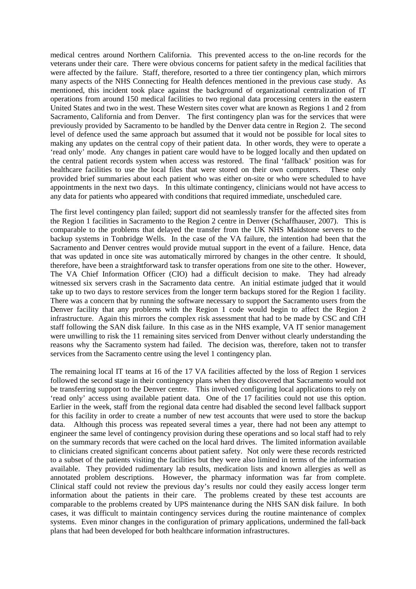medical centres around Northern California. This prevented access to the on-line records for the veterans under their care. There were obvious concerns for patient safety in the medical facilities that were affected by the failure. Staff, therefore, resorted to a three tier contingency plan, which mirrors many aspects of the NHS Connecting for Health defences mentioned in the previous case study. As mentioned, this incident took place against the background of organizational centralization of IT operations from around 150 medical facilities to two regional data processing centers in the eastern United States and two in the west. These Western sites cover what are known as Regions 1 and 2 from Sacramento, California and from Denver. The first contingency plan was for the services that were previously provided by Sacramento to be handled by the Denver data centre in Region 2. The second level of defence used the same approach but assumed that it would not be possible for local sites to making any updates on the central copy of their patient data. In other words, they were to operate a 'read only' mode. Any changes in patient care would have to be logged locally and then updated on the central patient records system when access was restored. The final 'fallback' position was for healthcare facilities to use the local files that were stored on their own computers. These only provided brief summaries about each patient who was either on-site or who were scheduled to have appointments in the next two days. In this ultimate contingency, clinicians would not have access to any data for patients who appeared with conditions that required immediate, unscheduled care.

The first level contingency plan failed; support did not seamlessly transfer for the affected sites from the Region 1 facilities in Sacramento to the Region 2 centre in Denver (Schaffhauser, 2007). This is comparable to the problems that delayed the transfer from the UK NHS Maidstone servers to the backup systems in Tonbridge Wells. In the case of the VA failure, the intention had been that the Sacramento and Denver centres would provide mutual support in the event of a failure. Hence, data that was updated in once site was automatically mirrored by changes in the other centre. It should, therefore, have been a straightforward task to transfer operations from one site to the other. However, The VA Chief Information Officer (CIO) had a difficult decision to make. They had already witnessed six servers crash in the Sacramento data centre. An initial estimate judged that it would take up to two days to restore services from the longer term backups stored for the Region 1 facility. There was a concern that by running the software necessary to support the Sacramento users from the Denver facility that any problems with the Region 1 code would begin to affect the Region 2 infrastructure. Again this mirrors the complex risk assessment that had to be made by CSC and CfH staff following the SAN disk failure. In this case as in the NHS example, VA IT senior management were unwilling to risk the 11 remaining sites serviced from Denver without clearly understanding the reasons why the Sacramento system had failed. The decision was, therefore, taken not to transfer services from the Sacramento centre using the level 1 contingency plan.

The remaining local IT teams at 16 of the 17 VA facilities affected by the loss of Region 1 services followed the second stage in their contingency plans when they discovered that Sacramento would not be transferring support to the Denver centre. This involved configuring local applications to rely on 'read only' access using available patient data. One of the 17 facilities could not use this option. Earlier in the week, staff from the regional data centre had disabled the second level fallback support for this facility in order to create a number of new test accounts that were used to store the backup data. Although this process was repeated several times a year, there had not been any attempt to engineer the same level of contingency provision during these operations and so local staff had to rely on the summary records that were cached on the local hard drives. The limited information available to clinicians created significant concerns about patient safety. Not only were these records restricted to a subset of the patients visiting the facilities but they were also limited in terms of the information available. They provided rudimentary lab results, medication lists and known allergies as well as annotated problem descriptions. However, the pharmacy information was far from complete. Clinical staff could not review the previous day's results nor could they easily access longer term information about the patients in their care. The problems created by these test accounts are comparable to the problems created by UPS maintenance during the NHS SAN disk failure. In both cases, it was difficult to maintain contingency services during the routine maintenance of complex systems. Even minor changes in the configuration of primary applications, undermined the fall-back plans that had been developed for both healthcare information infrastructures.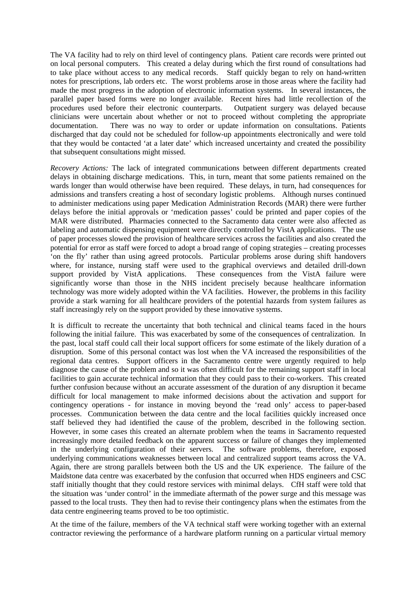The VA facility had to rely on third level of contingency plans. Patient care records were printed out on local personal computers. This created a delay during which the first round of consultations had to take place without access to any medical records. Staff quickly began to rely on hand-written notes for prescriptions, lab orders etc. The worst problems arose in those areas where the facility had made the most progress in the adoption of electronic information systems. In several instances, the parallel paper based forms were no longer available. Recent hires had little recollection of the procedures used before their electronic counterparts. Outpatient surgery was delayed because clinicians were uncertain about whether or not to proceed without completing the appropriate documentation. There was no way to order or update information on consultations. Patients discharged that day could not be scheduled for follow-up appointments electronically and were told that they would be contacted 'at a later date' which increased uncertainty and created the possibility that subsequent consultations might missed.

*Recovery Actions:* The lack of integrated communications between different departments created delays in obtaining discharge medications. This, in turn, meant that some patients remained on the wards longer than would otherwise have been required. These delays, in turn, had consequences for admissions and transfers creating a host of secondary logistic problems. Although nurses continued to administer medications using paper Medication Administration Records (MAR) there were further delays before the initial approvals or 'medication passes' could be printed and paper copies of the MAR were distributed. Pharmacies connected to the Sacramento data center were also affected as labeling and automatic dispensing equipment were directly controlled by VistA applications. The use of paper processes slowed the provision of healthcare services across the facilities and also created the potential for error as staff were forced to adopt a broad range of coping strategies – creating processes 'on the fly' rather than using agreed protocols. Particular problems arose during shift handovers where, for instance, nursing staff were used to the graphical overviews and detailed drill-down support provided by VistA applications. These consequences from the VistA failure were significantly worse than those in the NHS incident precisely because healthcare information technology was more widely adopted within the VA facilities. However, the problems in this facility provide a stark warning for all healthcare providers of the potential hazards from system failures as staff increasingly rely on the support provided by these innovative systems.

It is difficult to recreate the uncertainty that both technical and clinical teams faced in the hours following the initial failure. This was exacerbated by some of the consequences of centralization. In the past, local staff could call their local support officers for some estimate of the likely duration of a disruption. Some of this personal contact was lost when the VA increased the responsibilities of the regional data centres. Support officers in the Sacramento centre were urgently required to help diagnose the cause of the problem and so it was often difficult for the remaining support staff in local facilities to gain accurate technical information that they could pass to their co-workers. This created further confusion because without an accurate assessment of the duration of any disruption it became difficult for local management to make informed decisions about the activation and support for contingency operations - for instance in moving beyond the 'read only' access to paper-based processes. Communication between the data centre and the local facilities quickly increased once staff believed they had identified the cause of the problem, described in the following section. However, in some cases this created an alternate problem when the teams in Sacramento requested increasingly more detailed feedback on the apparent success or failure of changes they implemented in the underlying configuration of their servers. The software problems, therefore, exposed underlying communications weaknesses between local and centralized support teams across the VA. Again, there are strong parallels between both the US and the UK experience. The failure of the Maidstone data centre was exacerbated by the confusion that occurred when HDS engineers and CSC staff initially thought that they could restore services with minimal delays. CfH staff were told that the situation was 'under control' in the immediate aftermath of the power surge and this message was passed to the local trusts. They then had to revise their contingency plans when the estimates from the data centre engineering teams proved to be too optimistic.

At the time of the failure, members of the VA technical staff were working together with an external contractor reviewing the performance of a hardware platform running on a particular virtual memory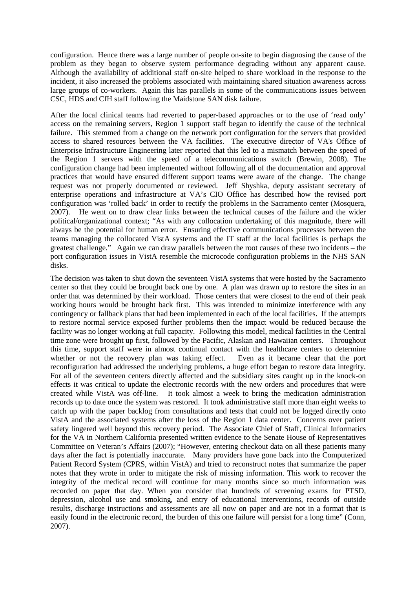configuration. Hence there was a large number of people on-site to begin diagnosing the cause of the problem as they began to observe system performance degrading without any apparent cause. Although the availability of additional staff on-site helped to share workload in the response to the incident, it also increased the problems associated with maintaining shared situation awareness across large groups of co-workers. Again this has parallels in some of the communications issues between CSC, HDS and CfH staff following the Maidstone SAN disk failure.

After the local clinical teams had reverted to paper-based approaches or to the use of 'read only' access on the remaining servers, Region 1 support staff began to identify the cause of the technical failure. This stemmed from a change on the network port configuration for the servers that provided access to shared resources between the VA facilities. The executive director of VA's Office of Enterprise Infrastructure Engineering later reported that this led to a mismatch between the speed of the Region 1 servers with the speed of a telecommunications switch (Brewin, 2008). The configuration change had been implemented without following all of the documentation and approval practices that would have ensured different support teams were aware of the change. The change request was not properly documented or reviewed. Jeff Shyshka, deputy assistant secretary of enterprise operations and infrastructure at VA's CIO Office has described how the revised port configuration was 'rolled back' in order to rectify the problems in the Sacramento center (Mosquera, 2007). He went on to draw clear links between the technical causes of the failure and the wider political/organizational context; "As with any collocation undertaking of this magnitude, there will always be the potential for human error. Ensuring effective communications processes between the teams managing the collocated VistA systems and the IT staff at the local facilities is perhaps the greatest challenge." Again we can draw parallels between the root causes of these two incidents – the port configuration issues in VistA resemble the microcode configuration problems in the NHS SAN disks.

The decision was taken to shut down the seventeen VistA systems that were hosted by the Sacramento center so that they could be brought back one by one. A plan was drawn up to restore the sites in an order that was determined by their workload. Those centers that were closest to the end of their peak working hours would be brought back first. This was intended to minimize interference with any contingency or fallback plans that had been implemented in each of the local facilities. If the attempts to restore normal service exposed further problems then the impact would be reduced because the facility was no longer working at full capacity. Following this model, medical facilities in the Central time zone were brought up first, followed by the Pacific, Alaskan and Hawaiian centers. Throughout this time, support staff were in almost continual contact with the healthcare centers to determine whether or not the recovery plan was taking effect. Even as it became clear that the port reconfiguration had addressed the underlying problems, a huge effort began to restore data integrity. For all of the seventeen centers directly affected and the subsidiary sites caught up in the knock-on effects it was critical to update the electronic records with the new orders and procedures that were created while VistA was off-line. It took almost a week to bring the medication administration records up to date once the system was restored. It took administrative staff more than eight weeks to catch up with the paper backlog from consultations and tests that could not be logged directly onto VistA and the associated systems after the loss of the Region 1 data center. Concerns over patient safety lingered well beyond this recovery period. The Associate Chief of Staff, Clinical Informatics for the VA in Northern California presented written evidence to the Senate House of Representatives Committee on Veteran's Affairs (2007); "However, entering checkout data on all these patients many days after the fact is potentially inaccurate. Many providers have gone back into the Computerized Patient Record System (CPRS, within VistA) and tried to reconstruct notes that summarize the paper notes that they wrote in order to mitigate the risk of missing information. This work to recover the integrity of the medical record will continue for many months since so much information was recorded on paper that day. When you consider that hundreds of screening exams for PTSD, depression, alcohol use and smoking, and entry of educational interventions, records of outside results, discharge instructions and assessments are all now on paper and are not in a format that is easily found in the electronic record, the burden of this one failure will persist for a long time" (Conn, 2007).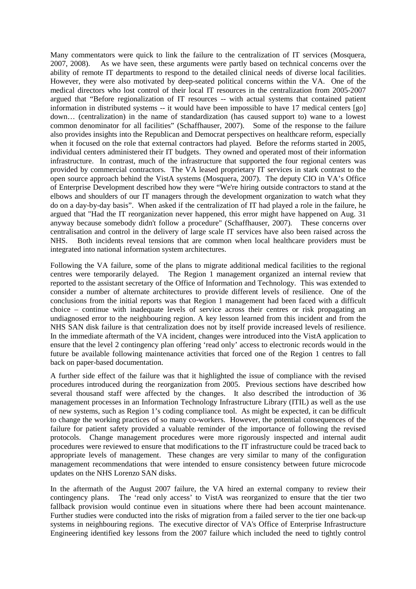Many commentators were quick to link the failure to the centralization of IT services (Mosquera, 2007, 2008). As we have seen, these arguments were partly based on technical concerns over the ability of remote IT departments to respond to the detailed clinical needs of diverse local facilities. However, they were also motivated by deep-seated political concerns within the VA. One of the medical directors who lost control of their local IT resources in the centralization from 2005-2007 argued that "Before regionalization of IT resources -- with actual systems that contained patient information in distributed systems -- it would have been impossible to have 17 medical centers [go] down… (centralization) in the name of standardization (has caused support to) wane to a lowest common denominator for all facilities" (Schaffhauser, 2007). Some of the response to the failure also provides insights into the Republican and Democrat perspectives on healthcare reform, especially when it focused on the role that external contractors had played. Before the reforms started in 2005, individual centers administered their IT budgets. They owned and operated most of their information infrastructure. In contrast, much of the infrastructure that supported the four regional centers was provided by commercial contractors. The VA leased proprietary IT services in stark contrast to the open source approach behind the VistA systems (Mosquera, 2007). The deputy CIO in VA's Office of Enterprise Development described how they were "We're hiring outside contractors to stand at the elbows and shoulders of our IT managers through the development organization to watch what they do on a day-by-day basis". When asked if the centralization of IT had played a role in the failure, he argued that "Had the IT reorganization never happened, this error might have happened on Aug. 31 anyway because somebody didn't follow a procedure" (Schaffhauser, 2007). These concerns over centralisation and control in the delivery of large scale IT services have also been raised across the NHS. Both incidents reveal tensions that are common when local healthcare providers must be integrated into national information system architectures.

Following the VA failure, some of the plans to migrate additional medical facilities to the regional centres were temporarily delayed. The Region 1 management organized an internal review that reported to the assistant secretary of the Office of Information and Technology. This was extended to consider a number of alternate architectures to provide different levels of resilience. One of the conclusions from the initial reports was that Region 1 management had been faced with a difficult choice – continue with inadequate levels of service across their centres or risk propagating an undiagnosed error to the neighbouring region. A key lesson learned from this incident and from the NHS SAN disk failure is that centralization does not by itself provide increased levels of resilience. In the immediate aftermath of the VA incident, changes were introduced into the VistA application to ensure that the level 2 contingency plan offering 'read only' access to electronic records would in the future be available following maintenance activities that forced one of the Region 1 centres to fall back on paper-based documentation.

A further side effect of the failure was that it highlighted the issue of compliance with the revised procedures introduced during the reorganization from 2005. Previous sections have described how several thousand staff were affected by the changes. It also described the introduction of 36 management processes in an Information Technology Infrastructure Library (ITIL) as well as the use of new systems, such as Region 1's coding compliance tool. As might be expected, it can be difficult to change the working practices of so many co-workers. However, the potential consequences of the failure for patient safety provided a valuable reminder of the importance of following the revised protocols. Change management procedures were more rigorously inspected and internal audit procedures were reviewed to ensure that modifications to the IT infrastructure could be traced back to appropriate levels of management. These changes are very similar to many of the configuration management recommendations that were intended to ensure consistency between future microcode updates on the NHS Lorenzo SAN disks.

In the aftermath of the August 2007 failure, the VA hired an external company to review their contingency plans. The 'read only access' to VistA was reorganized to ensure that the tier two fallback provision would continue even in situations where there had been account maintenance. Further studies were conducted into the risks of migration from a failed server to the tier one back-up systems in neighbouring regions. The executive director of VA's Office of Enterprise Infrastructure Engineering identified key lessons from the 2007 failure which included the need to tightly control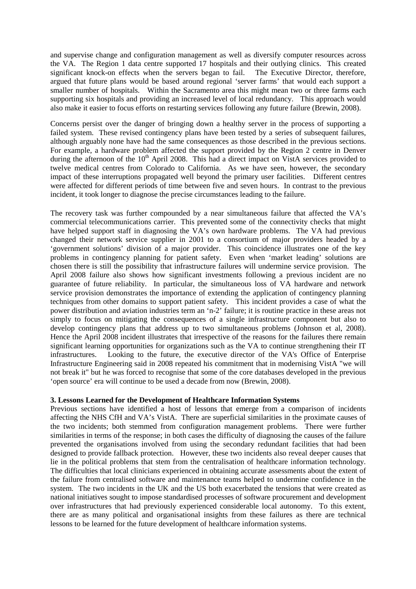and supervise change and configuration management as well as diversify computer resources across the VA. The Region 1 data centre supported 17 hospitals and their outlying clinics. This created significant knock-on effects when the servers began to fail. The Executive Director, therefore, argued that future plans would be based around regional 'server farms' that would each support a smaller number of hospitals. Within the Sacramento area this might mean two or three farms each supporting six hospitals and providing an increased level of local redundancy. This approach would also make it easier to focus efforts on restarting services following any future failure (Brewin, 2008).

Concerns persist over the danger of bringing down a healthy server in the process of supporting a failed system. These revised contingency plans have been tested by a series of subsequent failures, although arguably none have had the same consequences as those described in the previous sections. For example, a hardware problem affected the support provided by the Region 2 centre in Denver during the afternoon of the  $10<sup>th</sup>$  April 2008. This had a direct impact on VistA services provided to twelve medical centres from Colorado to California. As we have seen, however, the secondary impact of these interruptions propagated well beyond the primary user facilities. Different centres were affected for different periods of time between five and seven hours. In contrast to the previous incident, it took longer to diagnose the precise circumstances leading to the failure.

The recovery task was further compounded by a near simultaneous failure that affected the VA's commercial telecommunications carrier. This prevented some of the connectivity checks that might have helped support staff in diagnosing the VA's own hardware problems. The VA had previous changed their network service supplier in 2001 to a consortium of major providers headed by a 'government solutions' division of a major provider. This coincidence illustrates one of the key problems in contingency planning for patient safety. Even when 'market leading' solutions are chosen there is still the possibility that infrastructure failures will undermine service provision. The April 2008 failure also shows how significant investments following a previous incident are no guarantee of future reliability. In particular, the simultaneous loss of VA hardware and network service provision demonstrates the importance of extending the application of contingency planning techniques from other domains to support patient safety. This incident provides a case of what the power distribution and aviation industries term an 'n-2' failure; it is routine practice in these areas not simply to focus on mitigating the consequences of a single infrastructure component but also to develop contingency plans that address up to two simultaneous problems (Johnson et al, 2008). Hence the April 2008 incident illustrates that irrespective of the reasons for the failures there remain significant learning opportunities for organizations such as the VA to continue strengthening their IT infrastructures. Looking to the future, the executive director of the VA's Office of Enterprise Infrastructure Engineering said in 2008 repeated his commitment that in modernising VistA "we will not break it" but he was forced to recognise that some of the core databases developed in the previous 'open source' era will continue to be used a decade from now (Brewin, 2008).

### **3. Lessons Learned for the Development of Healthcare Information Systems**

Previous sections have identified a host of lessons that emerge from a comparison of incidents affecting the NHS CfH and VA's VistA. There are superficial similarities in the proximate causes of the two incidents; both stemmed from configuration management problems. There were further similarities in terms of the response; in both cases the difficulty of diagnosing the causes of the failure prevented the organisations involved from using the secondary redundant facilities that had been designed to provide fallback protection. However, these two incidents also reveal deeper causes that lie in the political problems that stem from the centralisation of healthcare information technology. The difficulties that local clinicians experienced in obtaining accurate assessments about the extent of the failure from centralised software and maintenance teams helped to undermine confidence in the system. The two incidents in the UK and the US both exacerbated the tensions that were created as national initiatives sought to impose standardised processes of software procurement and development over infrastructures that had previously experienced considerable local autonomy. To this extent, there are as many political and organisational insights from these failures as there are technical lessons to be learned for the future development of healthcare information systems.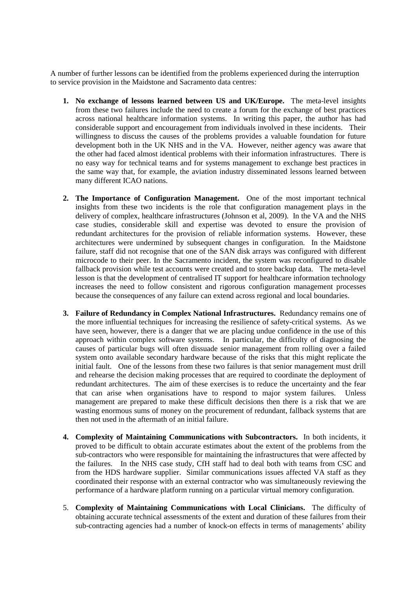A number of further lessons can be identified from the problems experienced during the interruption to service provision in the Maidstone and Sacramento data centres:

- **1. No exchange of lessons learned between US and UK/Europe.** The meta-level insights from these two failures include the need to create a forum for the exchange of best practices across national healthcare information systems. In writing this paper, the author has had considerable support and encouragement from individuals involved in these incidents. Their willingness to discuss the causes of the problems provides a valuable foundation for future development both in the UK NHS and in the VA. However, neither agency was aware that the other had faced almost identical problems with their information infrastructures. There is no easy way for technical teams and for systems management to exchange best practices in the same way that, for example, the aviation industry disseminated lessons learned between many different ICAO nations.
- **2. The Importance of Configuration Management.** One of the most important technical insights from these two incidents is the role that configuration management plays in the delivery of complex, healthcare infrastructures (Johnson et al, 2009). In the VA and the NHS case studies, considerable skill and expertise was devoted to ensure the provision of redundant architectures for the provision of reliable information systems. However, these architectures were undermined by subsequent changes in configuration. In the Maidstone failure, staff did not recognise that one of the SAN disk arrays was configured with different microcode to their peer. In the Sacramento incident, the system was reconfigured to disable fallback provision while test accounts were created and to store backup data. The meta-level lesson is that the development of centralised IT support for healthcare information technology increases the need to follow consistent and rigorous configuration management processes because the consequences of any failure can extend across regional and local boundaries.
- **3. Failure of Redundancy in Complex National Infrastructures.** Redundancy remains one of the more influential techniques for increasing the resilience of safety-critical systems. As we have seen, however, there is a danger that we are placing undue confidence in the use of this approach within complex software systems. In particular, the difficulty of diagnosing the causes of particular bugs will often dissuade senior management from rolling over a failed system onto available secondary hardware because of the risks that this might replicate the initial fault. One of the lessons from these two failures is that senior management must drill and rehearse the decision making processes that are required to coordinate the deployment of redundant architectures. The aim of these exercises is to reduce the uncertainty and the fear that can arise when organisations have to respond to major system failures. Unless management are prepared to make these difficult decisions then there is a risk that we are wasting enormous sums of money on the procurement of redundant, fallback systems that are then not used in the aftermath of an initial failure.
- **4. Complexity of Maintaining Communications with Subcontractors.** In both incidents, it proved to be difficult to obtain accurate estimates about the extent of the problems from the sub-contractors who were responsible for maintaining the infrastructures that were affected by the failures. In the NHS case study, CfH staff had to deal both with teams from CSC and from the HDS hardware supplier. Similar communications issues affected VA staff as they coordinated their response with an external contractor who was simultaneously reviewing the performance of a hardware platform running on a particular virtual memory configuration.
- 5. **Complexity of Maintaining Communications with Local Clinicians.** The difficulty of obtaining accurate technical assessments of the extent and duration of these failures from their sub-contracting agencies had a number of knock-on effects in terms of managements' ability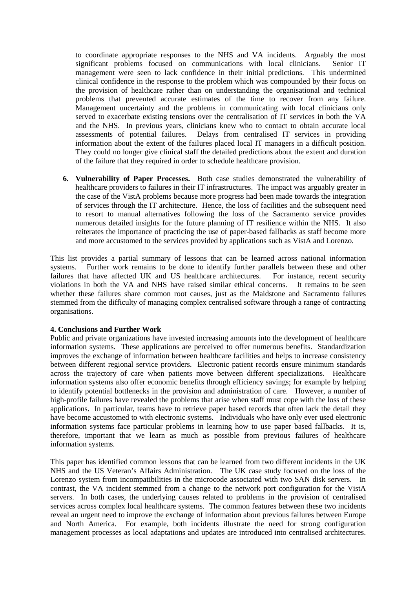to coordinate appropriate responses to the NHS and VA incidents. Arguably the most significant problems focused on communications with local clinicians. Senior IT management were seen to lack confidence in their initial predictions. This undermined clinical confidence in the response to the problem which was compounded by their focus on the provision of healthcare rather than on understanding the organisational and technical problems that prevented accurate estimates of the time to recover from any failure. Management uncertainty and the problems in communicating with local clinicians only served to exacerbate existing tensions over the centralisation of IT services in both the VA and the NHS. In previous years, clinicians knew who to contact to obtain accurate local assessments of potential failures. Delays from centralised IT services in providing information about the extent of the failures placed local IT managers in a difficult position. They could no longer give clinical staff the detailed predictions about the extent and duration of the failure that they required in order to schedule healthcare provision.

**6. Vulnerability of Paper Processes.** Both case studies demonstrated the vulnerability of healthcare providers to failures in their IT infrastructures. The impact was arguably greater in the case of the VistA problems because more progress had been made towards the integration of services through the IT architecture. Hence, the loss of facilities and the subsequent need to resort to manual alternatives following the loss of the Sacramento service provides numerous detailed insights for the future planning of IT resilience within the NHS. It also reiterates the importance of practicing the use of paper-based fallbacks as staff become more and more accustomed to the services provided by applications such as VistA and Lorenzo.

This list provides a partial summary of lessons that can be learned across national information systems. Further work remains to be done to identify further parallels between these and other failures that have affected UK and US healthcare architectures. For instance, recent security violations in both the VA and NHS have raised similar ethical concerns. It remains to be seen whether these failures share common root causes, just as the Maidstone and Sacramento failures stemmed from the difficulty of managing complex centralised software through a range of contracting organisations.

### **4. Conclusions and Further Work**

Public and private organizations have invested increasing amounts into the development of healthcare information systems. These applications are perceived to offer numerous benefits. Standardization improves the exchange of information between healthcare facilities and helps to increase consistency between different regional service providers. Electronic patient records ensure minimum standards across the trajectory of care when patients move between different specializations. Healthcare information systems also offer economic benefits through efficiency savings; for example by helping to identify potential bottlenecks in the provision and administration of care. However, a number of high-profile failures have revealed the problems that arise when staff must cope with the loss of these applications. In particular, teams have to retrieve paper based records that often lack the detail they have become accustomed to with electronic systems. Individuals who have only ever used electronic information systems face particular problems in learning how to use paper based fallbacks. It is, therefore, important that we learn as much as possible from previous failures of healthcare information systems.

This paper has identified common lessons that can be learned from two different incidents in the UK NHS and the US Veteran's Affairs Administration. The UK case study focused on the loss of the Lorenzo system from incompatibilities in the microcode associated with two SAN disk servers. In contrast, the VA incident stemmed from a change to the network port configuration for the VistA servers. In both cases, the underlying causes related to problems in the provision of centralised services across complex local healthcare systems. The common features between these two incidents reveal an urgent need to improve the exchange of information about previous failures between Europe and North America. For example, both incidents illustrate the need for strong configuration management processes as local adaptations and updates are introduced into centralised architectures.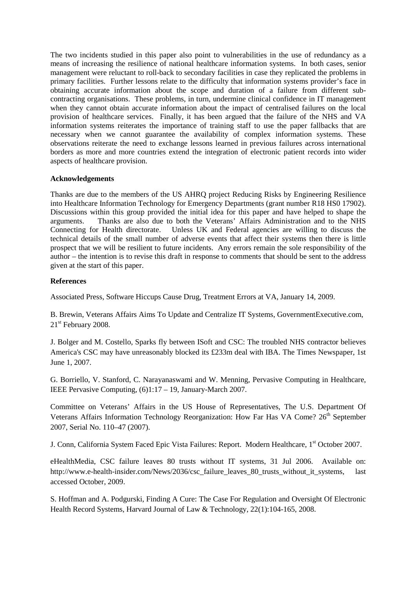The two incidents studied in this paper also point to vulnerabilities in the use of redundancy as a means of increasing the resilience of national healthcare information systems. In both cases, senior management were reluctant to roll-back to secondary facilities in case they replicated the problems in primary facilities. Further lessons relate to the difficulty that information systems provider's face in obtaining accurate information about the scope and duration of a failure from different subcontracting organisations. These problems, in turn, undermine clinical confidence in IT management when they cannot obtain accurate information about the impact of centralised failures on the local provision of healthcare services. Finally, it has been argued that the failure of the NHS and VA information systems reiterates the importance of training staff to use the paper fallbacks that are necessary when we cannot guarantee the availability of complex information systems. These observations reiterate the need to exchange lessons learned in previous failures across international borders as more and more countries extend the integration of electronic patient records into wider aspects of healthcare provision.

# **Acknowledgements**

Thanks are due to the members of the US AHRQ project Reducing Risks by Engineering Resilience into Healthcare Information Technology for Emergency Departments (grant number R18 HS0 17902). Discussions within this group provided the initial idea for this paper and have helped to shape the arguments. Thanks are also due to both the Veterans' Affairs Administration and to the NHS Connecting for Health directorate. Unless UK and Federal agencies are willing to discuss the technical details of the small number of adverse events that affect their systems then there is little prospect that we will be resilient to future incidents. Any errors remain the sole responsibility of the author – the intention is to revise this draft in response to comments that should be sent to the address given at the start of this paper.

# **References**

Associated Press, Software Hiccups Cause Drug, Treatment Errors at VA, January 14, 2009.

B. Brewin, Veterans Affairs Aims To Update and Centralize IT Systems, GovernmentExecutive.com, 21<sup>st</sup> February 2008.

J. Bolger and M. Costello, Sparks fly between ISoft and CSC: The troubled NHS contractor believes America's CSC may have unreasonably blocked its £233m deal with IBA. The Times Newspaper, 1st June 1, 2007.

G. Borriello, V. Stanford, C. Narayanaswami and W. Menning, Pervasive Computing in Healthcare, IEEE Pervasive Computing, (6)1:17 – 19, January-March 2007.

Committee on Veterans' Affairs in the US House of Representatives, The U.S. Department Of Veterans Affairs Information Technology Reorganization: How Far Has VA Come? 26<sup>th</sup> September 2007, Serial No. 110–47 (2007).

J. Conn, California System Faced Epic Vista Failures: Report. Modern Healthcare, 1<sup>st</sup> October 2007.

eHealthMedia, CSC failure leaves 80 trusts without IT systems, 31 Jul 2006. Available on: http://www.e-health-insider.com/News/2036/csc\_failure\_leaves\_80\_trusts\_without\_it\_systems, last accessed October, 2009.

S. Hoffman and A. Podgurski, Finding A Cure: The Case For Regulation and Oversight Of Electronic Health Record Systems, Harvard Journal of Law & Technology, 22(1):104-165, 2008.